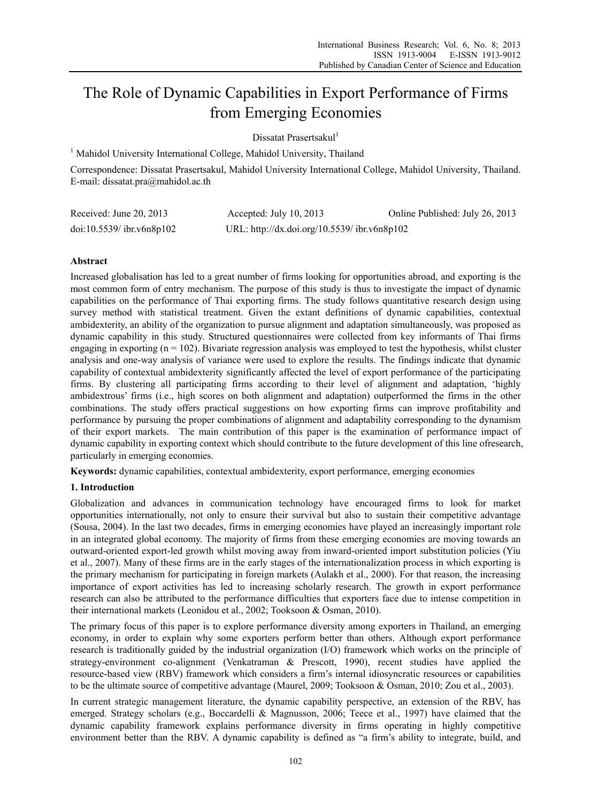# The Role of Dynamic Capabilities in Export Performance of Firms from Emerging Economies

Dissatat Prasertsakul<sup>1</sup>

<sup>1</sup> Mahidol University International College, Mahidol University, Thailand

Correspondence: Dissatat Prasertsakul, Mahidol University International College, Mahidol University, Thailand. E-mail: dissatat.pra@mahidol.ac.th

| Received: June 20, 2013  | Accepted: July 10, 2013                      | Online Published: July 26, 2013 |
|--------------------------|----------------------------------------------|---------------------------------|
| doi:10.5539/ibr.v6n8p102 | URL: http://dx.doi.org/10.5539/ ibr.v6n8p102 |                                 |

# **Abstract**

Increased globalisation has led to a great number of firms looking for opportunities abroad, and exporting is the most common form of entry mechanism. The purpose of this study is thus to investigate the impact of dynamic capabilities on the performance of Thai exporting firms. The study follows quantitative research design using survey method with statistical treatment. Given the extant definitions of dynamic capabilities, contextual ambidexterity, an ability of the organization to pursue alignment and adaptation simultaneously, was proposed as dynamic capability in this study. Structured questionnaires were collected from key informants of Thai firms engaging in exporting  $(n = 102)$ . Bivariate regression analysis was employed to test the hypothesis, whilst cluster analysis and one-way analysis of variance were used to explore the results. The findings indicate that dynamic capability of contextual ambidexterity significantly affected the level of export performance of the participating firms. By clustering all participating firms according to their level of alignment and adaptation, 'highly ambidextrous' firms (i.e., high scores on both alignment and adaptation) outperformed the firms in the other combinations. The study offers practical suggestions on how exporting firms can improve profitability and performance by pursuing the proper combinations of alignment and adaptability corresponding to the dynamism of their export markets. The main contribution of this paper is the examination of performance impact of dynamic capability in exporting context which should contribute to the future development of this line ofresearch, particularly in emerging economies.

**Keywords:** dynamic capabilities, contextual ambidexterity, export performance, emerging economies

## **1. Introduction**

Globalization and advances in communication technology have encouraged firms to look for market opportunities internationally, not only to ensure their survival but also to sustain their competitive advantage (Sousa, 2004). In the last two decades, firms in emerging economies have played an increasingly important role in an integrated global economy. The majority of firms from these emerging economies are moving towards an outward-oriented export-led growth whilst moving away from inward-oriented import substitution policies (Yiu et al., 2007). Many of these firms are in the early stages of the internationalization process in which exporting is the primary mechanism for participating in foreign markets (Aulakh et al., 2000). For that reason, the increasing importance of export activities has led to increasing scholarly research. The growth in export performance research can also be attributed to the performance difficulties that exporters face due to intense competition in their international markets (Leonidou et al., 2002; Tooksoon & Osman, 2010).

The primary focus of this paper is to explore performance diversity among exporters in Thailand, an emerging economy, in order to explain why some exporters perform better than others. Although export performance research is traditionally guided by the industrial organization (I/O) framework which works on the principle of strategy-environment co-alignment (Venkatraman & Prescott, 1990), recent studies have applied the resource-based view (RBV) framework which considers a firm's internal idiosyncratic resources or capabilities to be the ultimate source of competitive advantage (Maurel, 2009; Tooksoon & Osman, 2010; Zou et al., 2003).

In current strategic management literature, the dynamic capability perspective, an extension of the RBV, has emerged. Strategy scholars (e.g., Boccardelli & Magnusson, 2006; Teece et al., 1997) have claimed that the dynamic capability framework explains performance diversity in firms operating in highly competitive environment better than the RBV. A dynamic capability is defined as "a firm's ability to integrate, build, and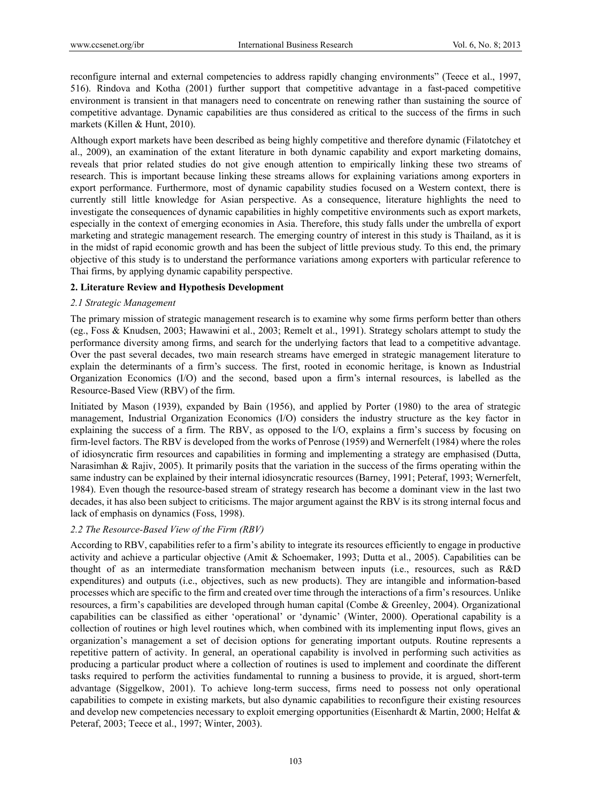reconfigure internal and external competencies to address rapidly changing environments" (Teece et al., 1997, 516). Rindova and Kotha (2001) further support that competitive advantage in a fast-paced competitive environment is transient in that managers need to concentrate on renewing rather than sustaining the source of competitive advantage. Dynamic capabilities are thus considered as critical to the success of the firms in such markets (Killen & Hunt, 2010).

Although export markets have been described as being highly competitive and therefore dynamic (Filatotchey et al., 2009), an examination of the extant literature in both dynamic capability and export marketing domains, reveals that prior related studies do not give enough attention to empirically linking these two streams of research. This is important because linking these streams allows for explaining variations among exporters in export performance. Furthermore, most of dynamic capability studies focused on a Western context, there is currently still little knowledge for Asian perspective. As a consequence, literature highlights the need to investigate the consequences of dynamic capabilities in highly competitive environments such as export markets, especially in the context of emerging economies in Asia. Therefore, this study falls under the umbrella of export marketing and strategic management research. The emerging country of interest in this study is Thailand, as it is in the midst of rapid economic growth and has been the subject of little previous study. To this end, the primary objective of this study is to understand the performance variations among exporters with particular reference to Thai firms, by applying dynamic capability perspective.

# **2. Literature Review and Hypothesis Development**

# *2.1 Strategic Management*

The primary mission of strategic management research is to examine why some firms perform better than others (eg., Foss & Knudsen, 2003; Hawawini et al., 2003; Remelt et al., 1991). Strategy scholars attempt to study the performance diversity among firms, and search for the underlying factors that lead to a competitive advantage. Over the past several decades, two main research streams have emerged in strategic management literature to explain the determinants of a firm's success. The first, rooted in economic heritage, is known as Industrial Organization Economics (I/O) and the second, based upon a firm's internal resources, is labelled as the Resource-Based View (RBV) of the firm.

Initiated by Mason (1939), expanded by Bain (1956), and applied by Porter (1980) to the area of strategic management, Industrial Organization Economics (I/O) considers the industry structure as the key factor in explaining the success of a firm. The RBV, as opposed to the I/O, explains a firm's success by focusing on firm-level factors. The RBV is developed from the works of Penrose (1959) and Wernerfelt (1984) where the roles of idiosyncratic firm resources and capabilities in forming and implementing a strategy are emphasised (Dutta, Narasimhan & Rajiv, 2005). It primarily posits that the variation in the success of the firms operating within the same industry can be explained by their internal idiosyncratic resources (Barney, 1991; Peteraf, 1993; Wernerfelt, 1984). Even though the resource-based stream of strategy research has become a dominant view in the last two decades, it has also been subject to criticisms. The major argument against the RBV is its strong internal focus and lack of emphasis on dynamics (Foss, 1998).

## *2.2 The Resource-Based View of the Firm (RBV)*

According to RBV, capabilities refer to a firm's ability to integrate its resources efficiently to engage in productive activity and achieve a particular objective (Amit & Schoemaker, 1993; Dutta et al., 2005). Capabilities can be thought of as an intermediate transformation mechanism between inputs (i.e., resources, such as R&D expenditures) and outputs (i.e., objectives, such as new products). They are intangible and information-based processes which are specific to the firm and created over time through the interactions of a firm's resources. Unlike resources, a firm's capabilities are developed through human capital (Combe & Greenley, 2004). Organizational capabilities can be classified as either 'operational' or 'dynamic' (Winter, 2000). Operational capability is a collection of routines or high level routines which, when combined with its implementing input flows, gives an organization's management a set of decision options for generating important outputs. Routine represents a repetitive pattern of activity. In general, an operational capability is involved in performing such activities as producing a particular product where a collection of routines is used to implement and coordinate the different tasks required to perform the activities fundamental to running a business to provide, it is argued, short-term advantage (Siggelkow, 2001). To achieve long-term success, firms need to possess not only operational capabilities to compete in existing markets, but also dynamic capabilities to reconfigure their existing resources and develop new competencies necessary to exploit emerging opportunities (Eisenhardt & Martin, 2000; Helfat & Peteraf, 2003; Teece et al., 1997; Winter, 2003).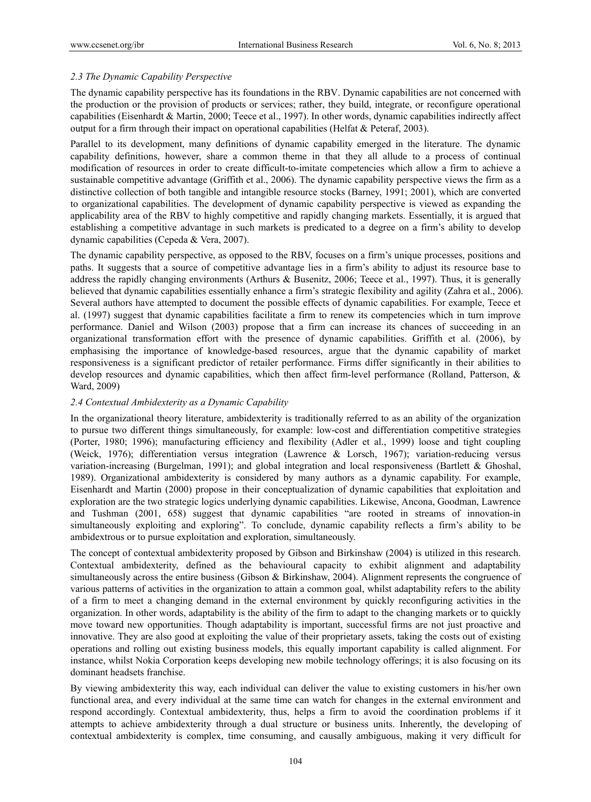## *2.3 The Dynamic Capability Perspective*

The dynamic capability perspective has its foundations in the RBV. Dynamic capabilities are not concerned with the production or the provision of products or services; rather, they build, integrate, or reconfigure operational capabilities (Eisenhardt & Martin, 2000; Teece et al., 1997). In other words, dynamic capabilities indirectly affect output for a firm through their impact on operational capabilities (Helfat & Peteraf, 2003).

Parallel to its development, many definitions of dynamic capability emerged in the literature. The dynamic capability definitions, however, share a common theme in that they all allude to a process of continual modification of resources in order to create difficult-to-imitate competencies which allow a firm to achieve a sustainable competitive advantage (Griffith et al., 2006). The dynamic capability perspective views the firm as a distinctive collection of both tangible and intangible resource stocks (Barney, 1991; 2001), which are converted to organizational capabilities. The development of dynamic capability perspective is viewed as expanding the applicability area of the RBV to highly competitive and rapidly changing markets. Essentially, it is argued that establishing a competitive advantage in such markets is predicated to a degree on a firm's ability to develop dynamic capabilities (Cepeda & Vera, 2007).

The dynamic capability perspective, as opposed to the RBV, focuses on a firm's unique processes, positions and paths. It suggests that a source of competitive advantage lies in a firm's ability to adjust its resource base to address the rapidly changing environments (Arthurs & Busenitz, 2006; Teece et al., 1997). Thus, it is generally believed that dynamic capabilities essentially enhance a firm's strategic flexibility and agility (Zahra et al., 2006). Several authors have attempted to document the possible effects of dynamic capabilities. For example, Teece et al. (1997) suggest that dynamic capabilities facilitate a firm to renew its competencies which in turn improve performance. Daniel and Wilson (2003) propose that a firm can increase its chances of succeeding in an organizational transformation effort with the presence of dynamic capabilities. Griffith et al. (2006), by emphasising the importance of knowledge-based resources, argue that the dynamic capability of market responsiveness is a significant predictor of retailer performance. Firms differ significantly in their abilities to develop resources and dynamic capabilities, which then affect firm-level performance (Rolland, Patterson, & Ward, 2009)

## *2.4 Contextual Ambidexterity as a Dynamic Capability*

In the organizational theory literature, ambidexterity is traditionally referred to as an ability of the organization to pursue two different things simultaneously, for example: low-cost and differentiation competitive strategies (Porter, 1980; 1996); manufacturing efficiency and flexibility (Adler et al., 1999) loose and tight coupling (Weick, 1976); differentiation versus integration (Lawrence & Lorsch, 1967); variation-reducing versus variation-increasing (Burgelman, 1991); and global integration and local responsiveness (Bartlett & Ghoshal, 1989). Organizational ambidexterity is considered by many authors as a dynamic capability. For example, Eisenhardt and Martin (2000) propose in their conceptualization of dynamic capabilities that exploitation and exploration are the two strategic logics underlying dynamic capabilities. Likewise, Ancona, Goodman, Lawrence and Tushman (2001, 658) suggest that dynamic capabilities "are rooted in streams of innovation-in simultaneously exploiting and exploring". To conclude, dynamic capability reflects a firm's ability to be ambidextrous or to pursue exploitation and exploration, simultaneously.

The concept of contextual ambidexterity proposed by Gibson and Birkinshaw (2004) is utilized in this research. Contextual ambidexterity, defined as the behavioural capacity to exhibit alignment and adaptability simultaneously across the entire business (Gibson & Birkinshaw, 2004). Alignment represents the congruence of various patterns of activities in the organization to attain a common goal, whilst adaptability refers to the ability of a firm to meet a changing demand in the external environment by quickly reconfiguring activities in the organization. In other words, adaptability is the ability of the firm to adapt to the changing markets or to quickly move toward new opportunities. Though adaptability is important, successful firms are not just proactive and innovative. They are also good at exploiting the value of their proprietary assets, taking the costs out of existing operations and rolling out existing business models, this equally important capability is called alignment. For instance, whilst Nokia Corporation keeps developing new mobile technology offerings; it is also focusing on its dominant headsets franchise.

By viewing ambidexterity this way, each individual can deliver the value to existing customers in his/her own functional area, and every individual at the same time can watch for changes in the external environment and respond accordingly. Contextual ambidexterity, thus, helps a firm to avoid the coordination problems if it attempts to achieve ambidexterity through a dual structure or business units. Inherently, the developing of contextual ambidexterity is complex, time consuming, and causally ambiguous, making it very difficult for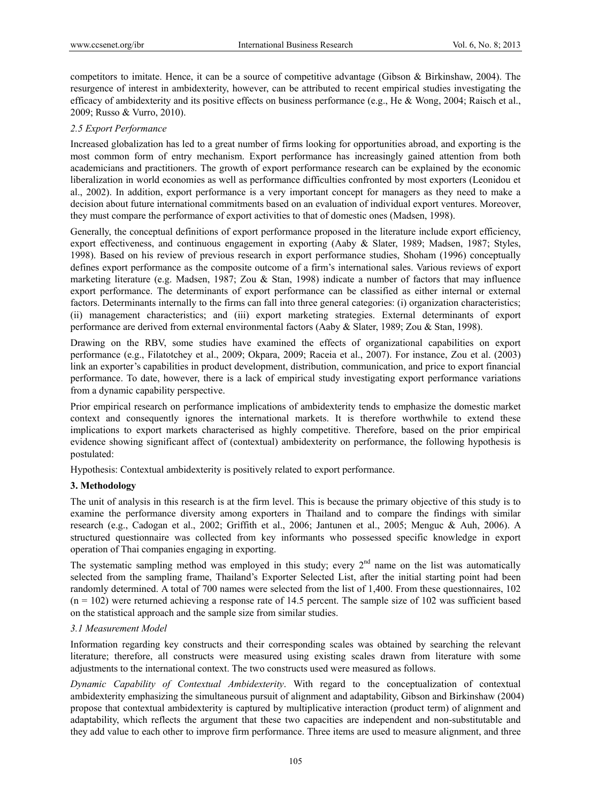competitors to imitate. Hence, it can be a source of competitive advantage (Gibson & Birkinshaw, 2004). The resurgence of interest in ambidexterity, however, can be attributed to recent empirical studies investigating the efficacy of ambidexterity and its positive effects on business performance (e.g., He & Wong, 2004; Raisch et al., 2009; Russo & Vurro, 2010).

## *2.5 Export Performance*

Increased globalization has led to a great number of firms looking for opportunities abroad, and exporting is the most common form of entry mechanism. Export performance has increasingly gained attention from both academicians and practitioners. The growth of export performance research can be explained by the economic liberalization in world economies as well as performance difficulties confronted by most exporters (Leonidou et al., 2002). In addition, export performance is a very important concept for managers as they need to make a decision about future international commitments based on an evaluation of individual export ventures. Moreover, they must compare the performance of export activities to that of domestic ones (Madsen, 1998).

Generally, the conceptual definitions of export performance proposed in the literature include export efficiency, export effectiveness, and continuous engagement in exporting (Aaby & Slater, 1989; Madsen, 1987; Styles, 1998). Based on his review of previous research in export performance studies, Shoham (1996) conceptually defines export performance as the composite outcome of a firm's international sales. Various reviews of export marketing literature (e.g. Madsen, 1987; Zou & Stan, 1998) indicate a number of factors that may influence export performance. The determinants of export performance can be classified as either internal or external factors. Determinants internally to the firms can fall into three general categories: (i) organization characteristics; (ii) management characteristics; and (iii) export marketing strategies. External determinants of export performance are derived from external environmental factors (Aaby & Slater, 1989; Zou & Stan, 1998).

Drawing on the RBV, some studies have examined the effects of organizational capabilities on export performance (e.g., Filatotchey et al., 2009; Okpara, 2009; Raceia et al., 2007). For instance, Zou et al. (2003) link an exporter's capabilities in product development, distribution, communication, and price to export financial performance. To date, however, there is a lack of empirical study investigating export performance variations from a dynamic capability perspective.

Prior empirical research on performance implications of ambidexterity tends to emphasize the domestic market context and consequently ignores the international markets. It is therefore worthwhile to extend these implications to export markets characterised as highly competitive. Therefore, based on the prior empirical evidence showing significant affect of (contextual) ambidexterity on performance, the following hypothesis is postulated:

Hypothesis: Contextual ambidexterity is positively related to export performance.

## **3. Methodology**

The unit of analysis in this research is at the firm level. This is because the primary objective of this study is to examine the performance diversity among exporters in Thailand and to compare the findings with similar research (e.g., Cadogan et al., 2002; Griffith et al., 2006; Jantunen et al., 2005; Menguc & Auh, 2006). A structured questionnaire was collected from key informants who possessed specific knowledge in export operation of Thai companies engaging in exporting.

The systematic sampling method was employed in this study; every  $2<sup>nd</sup>$  name on the list was automatically selected from the sampling frame, Thailand's Exporter Selected List, after the initial starting point had been randomly determined. A total of 700 names were selected from the list of 1,400. From these questionnaires, 102 (n = 102) were returned achieving a response rate of 14.5 percent. The sample size of 102 was sufficient based on the statistical approach and the sample size from similar studies.

## *3.1 Measurement Model*

Information regarding key constructs and their corresponding scales was obtained by searching the relevant literature; therefore, all constructs were measured using existing scales drawn from literature with some adjustments to the international context. The two constructs used were measured as follows.

*Dynamic Capability of Contextual Ambidexterity*. With regard to the conceptualization of contextual ambidexterity emphasizing the simultaneous pursuit of alignment and adaptability, Gibson and Birkinshaw (2004) propose that contextual ambidexterity is captured by multiplicative interaction (product term) of alignment and adaptability, which reflects the argument that these two capacities are independent and non-substitutable and they add value to each other to improve firm performance. Three items are used to measure alignment, and three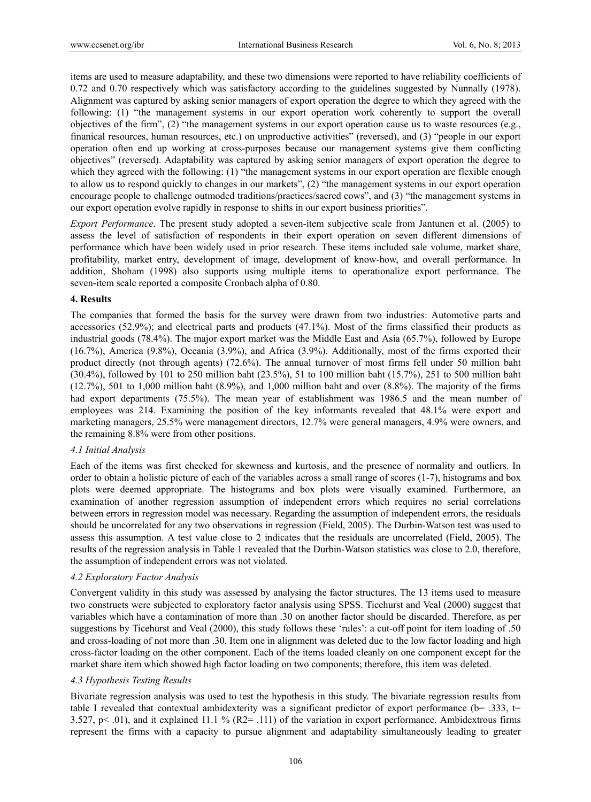items are used to measure adaptability, and these two dimensions were reported to have reliability coefficients of 0.72 and 0.70 respectively which was satisfactory according to the guidelines suggested by Nunnally (1978). Alignment was captured by asking senior managers of export operation the degree to which they agreed with the following: (1) "the management systems in our export operation work coherently to support the overall objectives of the firm", (2) "the management systems in our export operation cause us to waste resources (e.g., finanical resources, human resources, etc.) on unproductive activities" (reversed), and (3) "people in our export operation often end up working at cross-purposes because our management systems give them conflicting objectives" (reversed). Adaptability was captured by asking senior managers of export operation the degree to which they agreed with the following: (1) "the management systems in our export operation are flexible enough to allow us to respond quickly to changes in our markets", (2) "the management systems in our export operation encourage people to challenge outmoded traditions/practices/sacred cows", and (3) "the management systems in our export operation evolve rapidly in response to shifts in our export business priorities".

*Export Performance*. The present study adopted a seven-item subjective scale from Jantunen et al. (2005) to assess the level of satisfaction of respondents in their export operation on seven different dimensions of performance which have been widely used in prior research. These items included sale volume, market share, profitability, market entry, development of image, development of know-how, and overall performance. In addition, Shoham (1998) also supports using multiple items to operationalize export performance. The seven-item scale reported a composite Cronbach alpha of 0.80.

## **4. Results**

The companies that formed the basis for the survey were drawn from two industries: Automotive parts and accessories (52.9%); and electrical parts and products (47.1%). Most of the firms classified their products as industrial goods (78.4%). The major export market was the Middle East and Asia (65.7%), followed by Europe (16.7%), America (9.8%), Oceania (3.9%), and Africa (3.9%). Additionally, most of the firms exported their product directly (not through agents) (72.6%). The annual turnover of most firms fell under 50 million baht (30.4%), followed by 101 to 250 million baht (23.5%), 51 to 100 million baht (15.7%), 251 to 500 million baht (12.7%), 501 to 1,000 million baht (8.9%), and 1,000 million baht and over (8.8%). The majority of the firms had export departments (75.5%). The mean year of establishment was 1986.5 and the mean number of employees was 214. Examining the position of the key informants revealed that 48.1% were export and marketing managers, 25.5% were management directors, 12.7% were general managers, 4.9% were owners, and the remaining 8.8% were from other positions.

# *4.1 Initial Analysis*

Each of the items was first checked for skewness and kurtosis, and the presence of normality and outliers. In order to obtain a holistic picture of each of the variables across a small range of scores (1-7), histograms and box plots were deemed appropriate. The histograms and box plots were visually examined. Furthermore, an examination of another regression assumption of independent errors which requires no serial correlations between errors in regression model was necessary. Regarding the assumption of independent errors, the residuals should be uncorrelated for any two observations in regression (Field, 2005). The Durbin-Watson test was used to assess this assumption. A test value close to 2 indicates that the residuals are uncorrelated (Field, 2005). The results of the regression analysis in Table 1 revealed that the Durbin-Watson statistics was close to 2.0, therefore, the assumption of independent errors was not violated.

## *4.2 Exploratory Factor Analysis*

Convergent validity in this study was assessed by analysing the factor structures. The 13 items used to measure two constructs were subjected to exploratory factor analysis using SPSS. Ticehurst and Veal (2000) suggest that variables which have a contamination of more than .30 on another factor should be discarded. Therefore, as per suggestions by Ticehurst and Veal (2000), this study follows these 'rules': a cut-off point for item loading of .50 and cross-loading of not more than .30. Item one in alignment was deleted due to the low factor loading and high cross-factor loading on the other component. Each of the items loaded cleanly on one component except for the market share item which showed high factor loading on two components; therefore, this item was deleted.

## *4.3 Hypothesis Testing Results*

Bivariate regression analysis was used to test the hypothesis in this study. The bivariate regression results from table I revealed that contextual ambidexterity was a significant predictor of export performance (b= .333, t= 3.527, p< .01), and it explained 11.1 % (R2= .111) of the variation in export performance. Ambidextrous firms represent the firms with a capacity to pursue alignment and adaptability simultaneously leading to greater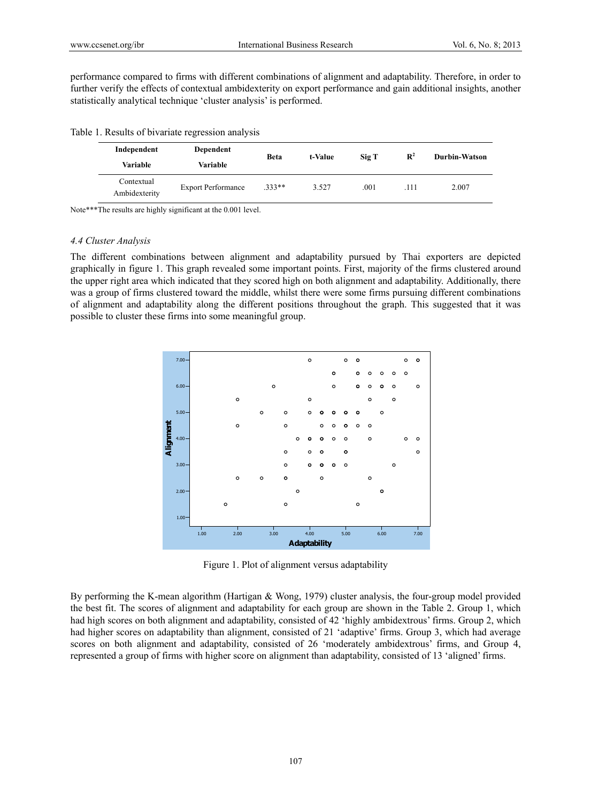performance compared to firms with different combinations of alignment and adaptability. Therefore, in order to further verify the effects of contextual ambidexterity on export performance and gain additional insights, another statistically analytical technique 'cluster analysis' is performed.

| Independent<br><b>Variable</b> | Dependent<br>Variable     | <b>Beta</b> | t-Value | Sig T | $\mathbf{R}^2$ | <b>Durbin-Watson</b> |
|--------------------------------|---------------------------|-------------|---------|-------|----------------|----------------------|
| Contextual<br>Ambidexterity    | <b>Export Performance</b> | $.333**$    | 3.527   | .001  | .111           | 2.007                |

Table 1. Results of bivariate regression analysis

Note\*\*\*The results are highly significant at the 0.001 level.

## *4.4 Cluster Analysis*

The different combinations between alignment and adaptability pursued by Thai exporters are depicted graphically in figure 1. This graph revealed some important points. First, majority of the firms clustered around the upper right area which indicated that they scored high on both alignment and adaptability. Additionally, there was a group of firms clustered toward the middle, whilst there were some firms pursuing different combinations of alignment and adaptability along the different positions throughout the graph. This suggested that it was possible to cluster these firms into some meaningful group.



Figure 1. Plot of alignment versus adaptability

By performing the K-mean algorithm (Hartigan & Wong, 1979) cluster analysis, the four-group model provided the best fit. The scores of alignment and adaptability for each group are shown in the Table 2. Group 1, which had high scores on both alignment and adaptability, consisted of 42 'highly ambidextrous' firms. Group 2, which had higher scores on adaptability than alignment, consisted of 21 'adaptive' firms. Group 3, which had average scores on both alignment and adaptability, consisted of 26 'moderately ambidextrous' firms, and Group 4, represented a group of firms with higher score on alignment than adaptability, consisted of 13 'aligned' firms.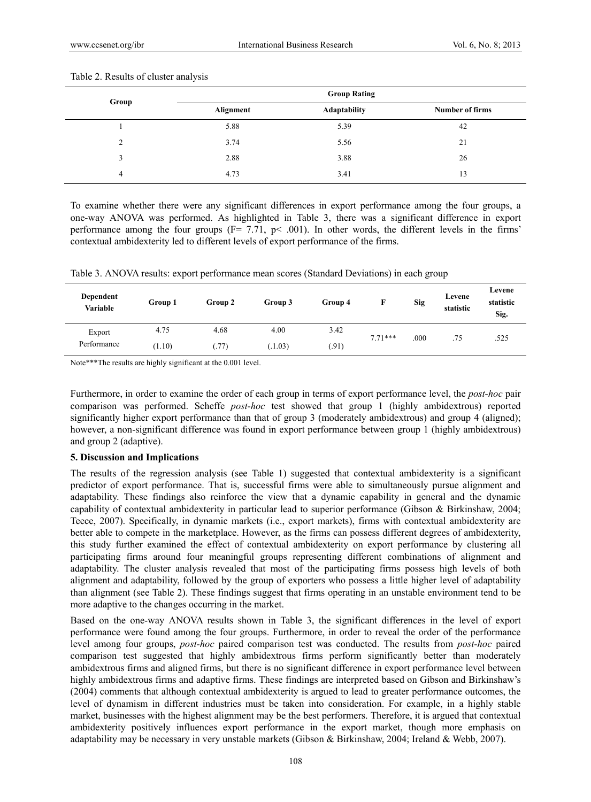| Group         | <b>Group Rating</b> |                     |                 |  |  |
|---------------|---------------------|---------------------|-----------------|--|--|
|               | Alignment           | <b>Adaptability</b> | Number of firms |  |  |
|               | 5.88                | 5.39                | 42              |  |  |
| $\mathcal{D}$ | 3.74                | 5.56                | 21              |  |  |
| 3             | 2.88                | 3.88                | 26              |  |  |
| 4             | 4.73                | 3.41                | 13              |  |  |

#### Table 2. Results of cluster analysis

To examine whether there were any significant differences in export performance among the four groups, a one-way ANOVA was performed. As highlighted in Table 3, there was a significant difference in export performance among the four groups  $(F= 7.71, p< .001)$ . In other words, the different levels in the firms' contextual ambidexterity led to different levels of export performance of the firms.

| Dependent<br><b>Variable</b> | Group 1 | Group 2 | Group 3 | Group 4 |           | Sig  | Levene<br>statistic | Levene<br>statistic<br>Sig. |
|------------------------------|---------|---------|---------|---------|-----------|------|---------------------|-----------------------------|
| Export                       | 4.75    | 4.68    | 4.00    | 3.42    | $7.71***$ | .000 | .75                 | .525                        |
| Performance                  | (1.10)  | (77)    | (.1.03) | (.91)   |           |      |                     |                             |

Note\*\*\*The results are highly significant at the 0.001 level.

Furthermore, in order to examine the order of each group in terms of export performance level, the *post-hoc* pair comparison was performed. Scheffe *post-hoc* test showed that group 1 (highly ambidextrous) reported significantly higher export performance than that of group 3 (moderately ambidextrous) and group 4 (aligned); however, a non-significant difference was found in export performance between group 1 (highly ambidextrous) and group 2 (adaptive).

## **5. Discussion and Implications**

The results of the regression analysis (see Table 1) suggested that contextual ambidexterity is a significant predictor of export performance. That is, successful firms were able to simultaneously pursue alignment and adaptability. These findings also reinforce the view that a dynamic capability in general and the dynamic capability of contextual ambidexterity in particular lead to superior performance (Gibson & Birkinshaw, 2004; Teece, 2007). Specifically, in dynamic markets (i.e., export markets), firms with contextual ambidexterity are better able to compete in the marketplace. However, as the firms can possess different degrees of ambidexterity, this study further examined the effect of contextual ambidexterity on export performance by clustering all participating firms around four meaningful groups representing different combinations of alignment and adaptability. The cluster analysis revealed that most of the participating firms possess high levels of both alignment and adaptability, followed by the group of exporters who possess a little higher level of adaptability than alignment (see Table 2). These findings suggest that firms operating in an unstable environment tend to be more adaptive to the changes occurring in the market.

Based on the one-way ANOVA results shown in Table 3, the significant differences in the level of export performance were found among the four groups. Furthermore, in order to reveal the order of the performance level among four groups, *post-hoc* paired comparison test was conducted. The results from *post-hoc* paired comparison test suggested that highly ambidextrous firms perform significantly better than moderately ambidextrous firms and aligned firms, but there is no significant difference in export performance level between highly ambidextrous firms and adaptive firms. These findings are interpreted based on Gibson and Birkinshaw's (2004) comments that although contextual ambidexterity is argued to lead to greater performance outcomes, the level of dynamism in different industries must be taken into consideration. For example, in a highly stable market, businesses with the highest alignment may be the best performers. Therefore, it is argued that contextual ambidexterity positively influences export performance in the export market, though more emphasis on adaptability may be necessary in very unstable markets (Gibson & Birkinshaw, 2004; Ireland & Webb, 2007).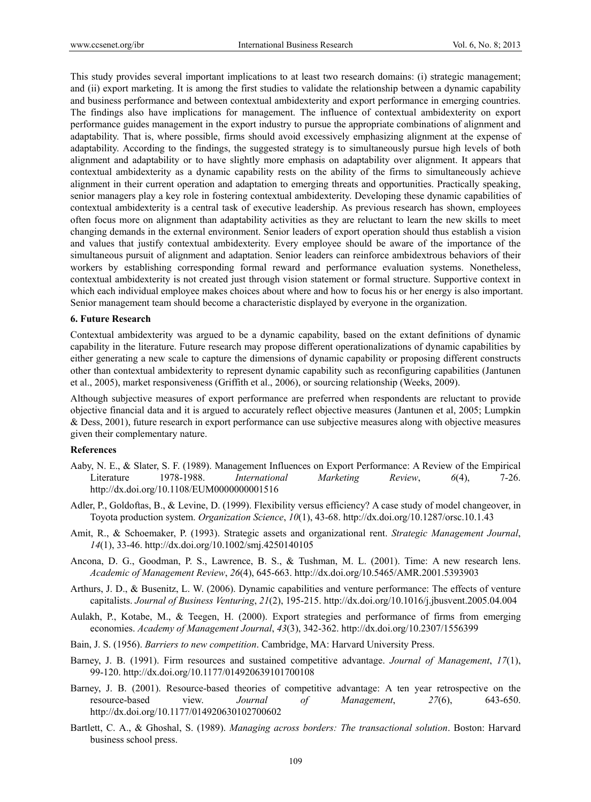This study provides several important implications to at least two research domains: (i) strategic management; and (ii) export marketing. It is among the first studies to validate the relationship between a dynamic capability and business performance and between contextual ambidexterity and export performance in emerging countries. The findings also have implications for management. The influence of contextual ambidexterity on export performance guides management in the export industry to pursue the appropriate combinations of alignment and adaptability. That is, where possible, firms should avoid excessively emphasizing alignment at the expense of adaptability. According to the findings, the suggested strategy is to simultaneously pursue high levels of both alignment and adaptability or to have slightly more emphasis on adaptability over alignment. It appears that contextual ambidexterity as a dynamic capability rests on the ability of the firms to simultaneously achieve alignment in their current operation and adaptation to emerging threats and opportunities. Practically speaking, senior managers play a key role in fostering contextual ambidexterity. Developing these dynamic capabilities of contextual ambidexterity is a central task of executive leadership. As previous research has shown, employees often focus more on alignment than adaptability activities as they are reluctant to learn the new skills to meet changing demands in the external environment. Senior leaders of export operation should thus establish a vision and values that justify contextual ambidexterity. Every employee should be aware of the importance of the simultaneous pursuit of alignment and adaptation. Senior leaders can reinforce ambidextrous behaviors of their workers by establishing corresponding formal reward and performance evaluation systems. Nonetheless, contextual ambidexterity is not created just through vision statement or formal structure. Supportive context in which each individual employee makes choices about where and how to focus his or her energy is also important. Senior management team should become a characteristic displayed by everyone in the organization.

#### **6. Future Research**

Contextual ambidexterity was argued to be a dynamic capability, based on the extant definitions of dynamic capability in the literature. Future research may propose different operationalizations of dynamic capabilities by either generating a new scale to capture the dimensions of dynamic capability or proposing different constructs other than contextual ambidexterity to represent dynamic capability such as reconfiguring capabilities (Jantunen et al., 2005), market responsiveness (Griffith et al., 2006), or sourcing relationship (Weeks, 2009).

Although subjective measures of export performance are preferred when respondents are reluctant to provide objective financial data and it is argued to accurately reflect objective measures (Jantunen et al, 2005; Lumpkin & Dess, 2001), future research in export performance can use subjective measures along with objective measures given their complementary nature.

## **References**

- Aaby, N. E., & Slater, S. F. (1989). Management Influences on Export Performance: A Review of the Empirical Literature 1978-1988. *International Marketing Review*, *6*(4), 7-26. http://dx.doi.org/10.1108/EUM0000000001516
- Adler, P., Goldoftas, B., & Levine, D. (1999). Flexibility versus efficiency? A case study of model changeover, in Toyota production system. *Organization Science*, *10*(1), 43-68. http://dx.doi.org/10.1287/orsc.10.1.43
- Amit, R., & Schoemaker, P. (1993). Strategic assets and organizational rent. *Strategic Management Journal*, *14*(1), 33-46. http://dx.doi.org/10.1002/smj.4250140105
- Ancona, D. G., Goodman, P. S., Lawrence, B. S., & Tushman, M. L. (2001). Time: A new research lens. *Academic of Management Review*, *26*(4), 645-663. http://dx.doi.org/10.5465/AMR.2001.5393903
- Arthurs, J. D., & Busenitz, L. W. (2006). Dynamic capabilities and venture performance: The effects of venture capitalists. *Journal of Business Venturing*, *21*(2), 195-215. http://dx.doi.org/10.1016/j.jbusvent.2005.04.004
- Aulakh, P., Kotabe, M., & Teegen, H. (2000). Export strategies and performance of firms from emerging economies. *Academy of Management Journal*, *43*(3), 342-362. http://dx.doi.org/10.2307/1556399
- Bain, J. S. (1956). *Barriers to new competition*. Cambridge, MA: Harvard University Press.
- Barney, J. B. (1991). Firm resources and sustained competitive advantage. *Journal of Management*, *17*(1), 99-120. http://dx.doi.org/10.1177/014920639101700108
- Barney, J. B. (2001). Resource-based theories of competitive advantage: A ten year retrospective on the resource-based view. *Journal of Management*, *27*(6), 643-650. http://dx.doi.org/10.1177/014920630102700602
- Bartlett, C. A., & Ghoshal, S. (1989). *Managing across borders: The transactional solution*. Boston: Harvard business school press.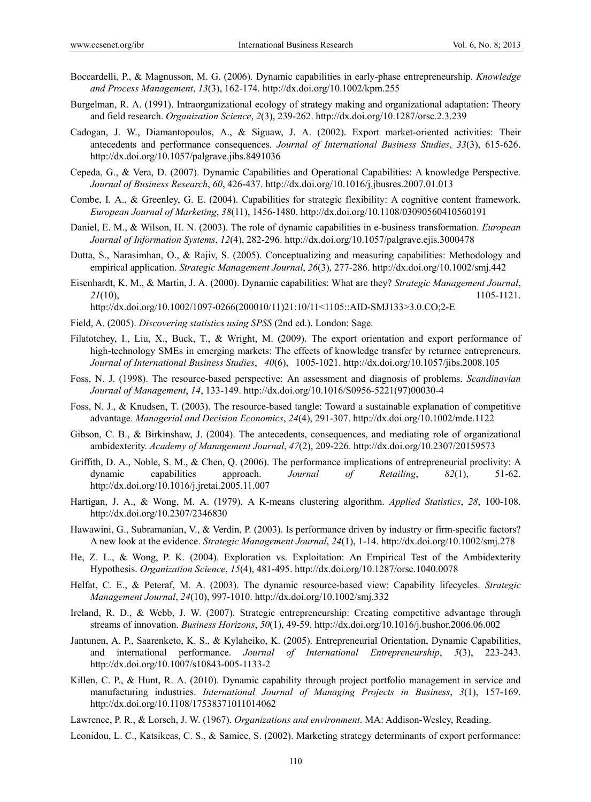- Boccardelli, P., & Magnusson, M. G. (2006). Dynamic capabilities in early-phase entrepreneurship. Knowledge and Process Management, 13(3), 162-174. http://dx.doi.org/10.1002/kpm.255
- Burgelman, R. A. (1991). Intraorganizational ecology of strategy making and organizational adaptation: Theory and field research. Organization Science, 2(3), 239-262. http://dx.doi.org/10.1287/orsc.2.3.239
- Cadogan, J. W., Diamantopoulos, A., & Siguaw, J. A. (2002). Export market-oriented activities: Their antecedents and performance consequences. Journal of International Business Studies, 33(3), 615-626. http://dx.doi.org/10.1057/palgrave.jibs.8491036
- Cepeda, G., & Vera, D. (2007). Dynamic Capabilities and Operational Capabilities: A knowledge Perspective. Journal of Business Research, 60, 426-437. http://dx.doi.org/10.1016/j.jbusres.2007.01.013
- Combe, I. A., & Greenley, G. E. (2004). Capabilities for strategic flexibility: A cognitive content framework. European Journal of Marketing, 38(11), 1456-1480. http://dx.doi.org/10.1108/03090560410560191
- Daniel, E. M., & Wilson, H. N. (2003). The role of dynamic capabilities in e-business transformation. *European* Journal of Information Systems, 12(4), 282-296. http://dx.doi.org/10.1057/palgrave.ejis.3000478
- Dutta, S., Narasimhan, O., & Rajiv, S. (2005). Conceptualizing and measuring capabilities: Methodology and empirical application. Strategic Management Journal, 26(3), 277-286. http://dx.doi.org/10.1002/smj.442
- Eisenhardt, K. M., & Martin, J. A. (2000). Dynamic capabilities: What are they? Strategic Management Journal.  $2I(10)$ ,  $1105 - 1121$ .

http://dx.doi.org/10.1002/1097-0266(200010/11)21:10/11<1105::AID-SMJ133>3.0.CO:2-E

- Field, A. (2005). Discovering statistics using SPSS (2nd ed.). London: Sage.
- Filatotchey, I., Liu, X., Buck, T., & Wright, M. (2009). The export orientation and export performance of high-technology SMEs in emerging markets: The effects of knowledge transfer by returnee entrepreneurs. Journal of International Business Studies, 40(6), 1005-1021. http://dx.doi.org/10.1057/jibs.2008.105
- Foss, N. J. (1998). The resource-based perspective: An assessment and diagnosis of problems. Scandinavian Journal of Management, 14, 133-149. http://dx.doi.org/10.1016/S0956-5221(97)00030-4
- Foss, N. J., & Knudsen, T. (2003). The resource-based tangle: Toward a sustainable explanation of competitive advantage. Managerial and Decision Economics, 24(4), 291-307. http://dx.doi.org/10.1002/mde.1122
- Gibson, C. B., & Birkinshaw, J. (2004). The antecedents, consequences, and mediating role of organizational ambidexterity. Academy of Management Journal, 47(2), 209-226. http://dx.doi.org/10.2307/20159573
- Griffith, D. A., Noble, S. M., & Chen, Q. (2006). The performance implications of entrepreneurial proclivity: A dynamic capabilities approach. **Journal** Retailing.  $82(1)$ ,  $51 - 62$ .  $\sigma f$ http://dx.doi.org/10.1016/j.jretai.2005.11.007
- Hartigan, J. A., & Wong, M. A. (1979). A K-means clustering algorithm. Applied Statistics, 28, 100-108. http://dx.doi.org/10.2307/2346830
- Hawawini, G., Subramanian, V., & Verdin, P. (2003). Is performance driven by industry or firm-specific factors? A new look at the evidence. Strategic Management Journal, 24(1), 1-14. http://dx.doi.org/10.1002/smj.278
- He, Z. L., & Wong, P. K. (2004). Exploration vs. Exploitation: An Empirical Test of the Ambidexterity Hypothesis. Organization Science, 15(4), 481-495. http://dx.doi.org/10.1287/orsc.1040.0078
- Helfat, C. E., & Peteraf, M. A. (2003). The dynamic resource-based view: Capability lifecycles. Strategic Management Journal, 24(10), 997-1010. http://dx.doi.org/10.1002/smj.332
- Ireland, R. D., & Webb, J. W. (2007). Strategic entrepreneurship: Creating competitive advantage through streams of innovation. Business Horizons, 50(1), 49-59. http://dx.doi.org/10.1016/j.bushor.2006.06.002
- Jantunen, A. P., Saarenketo, K. S., & Kylaheiko, K. (2005). Entrepreneurial Orientation, Dynamic Capabilities, and international performance. Journal of International Entrepreneurship, 5(3), 223-243. http://dx.doi.org/10.1007/s10843-005-1133-2
- Killen, C. P., & Hunt, R. A. (2010). Dynamic capability through project portfolio management in service and manufacturing industries. International Journal of Managing Projects in Business, 3(1), 157-169. http://dx.doi.org/10.1108/17538371011014062
- Lawrence, P. R., & Lorsch, J. W. (1967). Organizations and environment. MA: Addison-Wesley, Reading.
- Leonidou, L. C., Katsikeas, C. S., & Samiee, S. (2002). Marketing strategy determinants of export performance: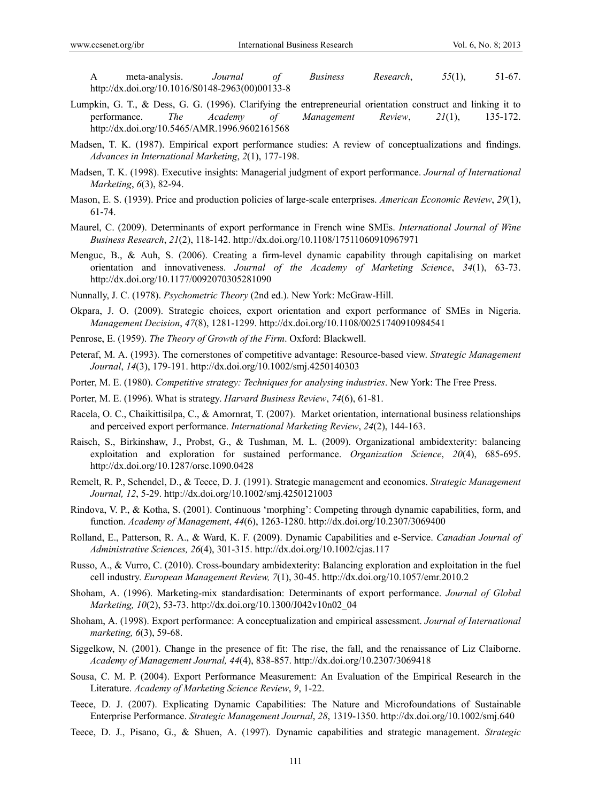$\mathsf{A}$ meta-analysis. Journal  $\sigma f$ **Business** Research,  $55(1)$ ,  $51-67.$ http://dx.doi.org/10.1016/S0148-2963(00)00133-8

- Lumpkin, G. T., & Dess, G. G. (1996). Clarifying the entrepreneurial orientation construct and linking it to performance. The Academy Management  $135 - 172$ .  $\int$ Review.  $2I(1)$ , http://dx.doi.org/10.5465/AMR.1996.9602161568
- Madsen, T. K. (1987). Empirical export performance studies: A review of conceptualizations and findings. Advances in International Marketing, 2(1), 177-198.
- Madsen, T. K. (1998). Executive insights: Managerial judgment of export performance. Journal of International Marketing, 6(3), 82-94.
- Mason, E. S. (1939). Price and production policies of large-scale enterprises. American Economic Review, 29(1),  $61-74$ .
- Maurel, C. (2009). Determinants of export performance in French wine SMEs. International Journal of Wine Business Research, 21(2), 118-142. http://dx.doi.org/10.1108/17511060910967971
- Menguc, B., & Auh, S. (2006). Creating a firm-level dynamic capability through capitalising on market orientation and innovativeness. Journal of the Academy of Marketing Science, 34(1), 63-73. http://dx.doi.org/10.1177/0092070305281090
- Nunnally, J. C. (1978). Psychometric Theory (2nd ed.). New York: McGraw-Hill.
- Okpara, J. O. (2009). Strategic choices, export orientation and export performance of SMEs in Nigeria. Management Decision, 47(8), 1281-1299. http://dx.doi.org/10.1108/00251740910984541
- Penrose, E. (1959). The Theory of Growth of the Firm. Oxford: Blackwell.
- Peteraf, M. A. (1993). The cornerstones of competitive advantage: Resource-based view. Strategic Management Journal, 14(3), 179-191. http://dx.doi.org/10.1002/smj.4250140303
- Porter, M. E. (1980). Competitive strategy: Techniques for analysing industries. New York: The Free Press.
- Porter, M. E. (1996). What is strategy. *Harvard Business Review*, 74(6), 61-81.
- Racela, O. C., Chaikittisilpa, C., & Amornrat, T. (2007). Market orientation, international business relationships and perceived export performance. International Marketing Review, 24(2), 144-163.
- Raisch, S., Birkinshaw, J., Probst, G., & Tushman, M. L. (2009). Organizational ambidexterity: balancing exploitation and exploration for sustained performance. Organization Science, 20(4), 685-695. http://dx.doi.org/10.1287/orsc.1090.0428
- Remelt, R. P., Schendel, D., & Teece, D. J. (1991). Strategic management and economics. Strategic Management Journal, 12, 5-29. http://dx.doi.org/10.1002/smj.4250121003
- Rindova, V. P., & Kotha, S. (2001). Continuous 'morphing': Competing through dynamic capabilities, form, and function. Academy of Management, 44(6), 1263-1280. http://dx.doi.org/10.2307/3069400
- Rolland, E., Patterson, R. A., & Ward, K. F. (2009). Dynamic Capabilities and e-Service. Canadian Journal of Administrative Sciences, 26(4), 301-315. http://dx.doi.org/10.1002/cjas.117
- Russo, A., & Vurro, C. (2010). Cross-boundary ambidexterity: Balancing exploration and exploitation in the fuel cell industry. European Management Review, 7(1), 30-45. http://dx.doi.org/10.1057/emr.2010.2
- Shoham, A. (1996). Marketing-mix standardisation: Determinants of export performance. Journal of Global Marketing, 10(2), 53-73. http://dx.doi.org/10.1300/J042v10n02\_04
- Shoham, A. (1998). Export performance: A conceptualization and empirical assessment. Journal of International marketing, 6(3), 59-68.
- Siggelkow, N. (2001). Change in the presence of fit: The rise, the fall, and the renaissance of Liz Claiborne. Academy of Management Journal, 44(4), 838-857. http://dx.doi.org/10.2307/3069418
- Sousa, C. M. P. (2004). Export Performance Measurement: An Evaluation of the Empirical Research in the Literature. Academy of Marketing Science Review, 9, 1-22.
- Teece, D. J. (2007). Explicating Dynamic Capabilities: The Nature and Microfoundations of Sustainable Enterprise Performance. Strategic Management Journal, 28, 1319-1350. http://dx.doi.org/10.1002/smj.640
- Teece, D. J., Pisano, G., & Shuen, A. (1997). Dynamic capabilities and strategic management. Strategic